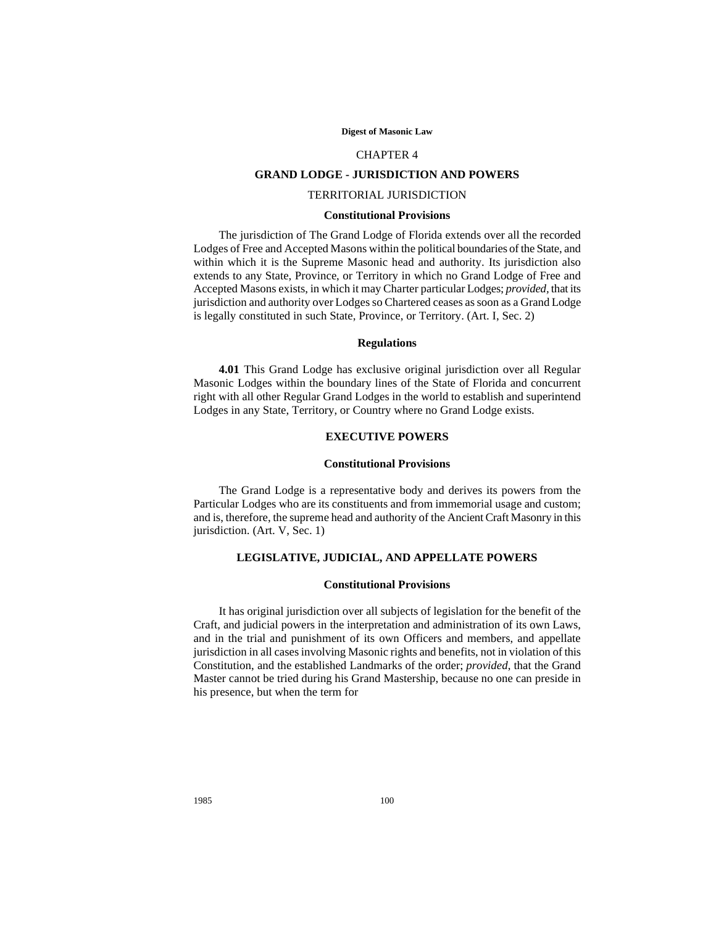#### **Digest of Masonic Law**

#### CHAPTER 4

## **GRAND LODGE - JURISDICTION AND POWERS**

## TERRITORIAL JURISDICTION

#### **Constitutional Provisions**

The jurisdiction of The Grand Lodge of Florida extends over all the recorded Lodges of Free and Accepted Masons within the political boundaries of the State, and within which it is the Supreme Masonic head and authority. Its jurisdiction also extends to any State, Province, or Territory in which no Grand Lodge of Free and Accepted Masons exists, in which it may Charter particular Lodges; *provided,* that its jurisdiction and authority over Lodges so Chartered ceases as soon as a Grand Lodge is legally constituted in such State, Province, or Territory. (Art. I, Sec. 2)

# **Regulations**

**4.01** This Grand Lodge has exclusive original jurisdiction over all Regular Masonic Lodges within the boundary lines of the State of Florida and concurrent right with all other Regular Grand Lodges in the world to establish and superintend Lodges in any State, Territory, or Country where no Grand Lodge exists.

## **EXECUTIVE POWERS**

#### **Constitutional Provisions**

The Grand Lodge is a representative body and derives its powers from the Particular Lodges who are its constituents and from immemorial usage and custom; and is, therefore, the supreme head and authority of the Ancient Craft Masonry in this jurisdiction. (Art. V, Sec. 1)

## **LEGISLATIVE, JUDICIAL, AND APPELLATE POWERS**

### **Constitutional Provisions**

It has original jurisdiction over all subjects of legislation for the benefit of the Craft, and judicial powers in the interpretation and administration of its own Laws, and in the trial and punishment of its own Officers and members, and appellate jurisdiction in all cases involving Masonic rights and benefits, not in violation of this Constitution, and the established Landmarks of the order; *provided*, that the Grand Master cannot be tried during his Grand Mastership, because no one can preside in his presence, but when the term for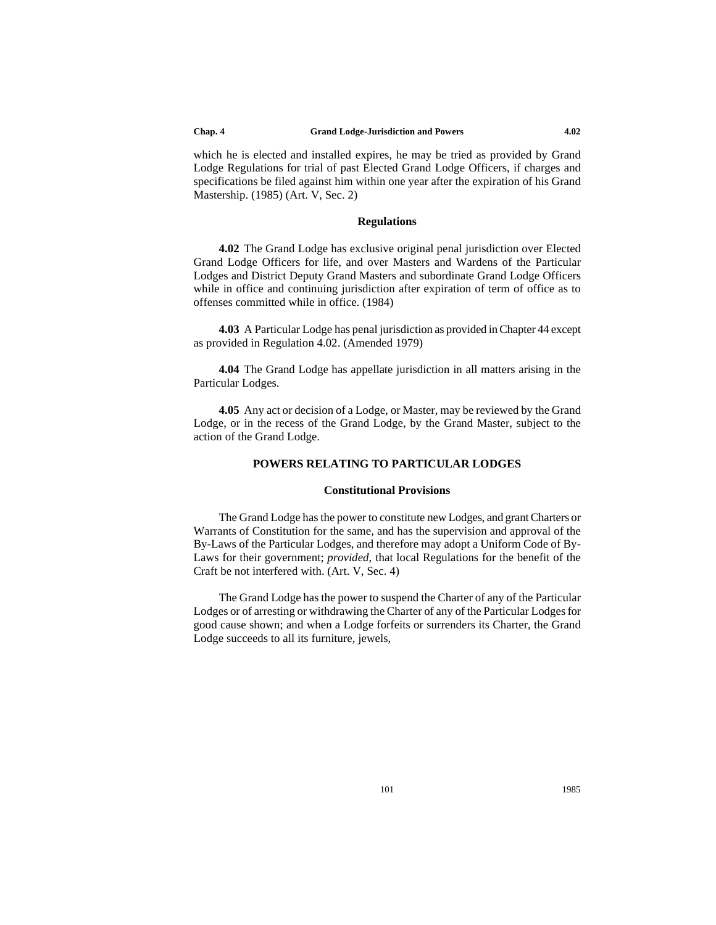which he is elected and installed expires, he may be tried as provided by Grand Lodge Regulations for trial of past Elected Grand Lodge Officers, if charges and specifications be filed against him within one year after the expiration of his Grand Mastership. (1985) (Art. V, Sec. 2)

## **Regulations**

**4.02** The Grand Lodge has exclusive original penal jurisdiction over Elected Grand Lodge Officers for life, and over Masters and Wardens of the Particular Lodges and District Deputy Grand Masters and subordinate Grand Lodge Officers while in office and continuing jurisdiction after expiration of term of office as to offenses committed while in office. (1984)

**4.03** A Particular Lodge has penal jurisdiction as provided in Chapter 44 except as provided in Regulation 4.02. (Amended 1979)

**4.04** The Grand Lodge has appellate jurisdiction in all matters arising in the Particular Lodges.

**4.05** Any act or decision of a Lodge, or Master, may be reviewed by the Grand Lodge, or in the recess of the Grand Lodge, by the Grand Master, subject to the action of the Grand Lodge.

# **POWERS RELATING TO PARTICULAR LODGES**

## **Constitutional Provisions**

The Grand Lodge has the power to constitute new Lodges, and grant Charters or Warrants of Constitution for the same, and has the supervision and approval of the By-Laws of the Particular Lodges, and therefore may adopt a Uniform Code of By-Laws for their government; *provided*, that local Regulations for the benefit of the Craft be not interfered with. (Art. V, Sec. 4)

The Grand Lodge has the power to suspend the Charter of any of the Particular Lodges or of arresting or withdrawing the Charter of any of the Particular Lodges for good cause shown; and when a Lodge forfeits or surrenders its Charter, the Grand Lodge succeeds to all its furniture, jewels,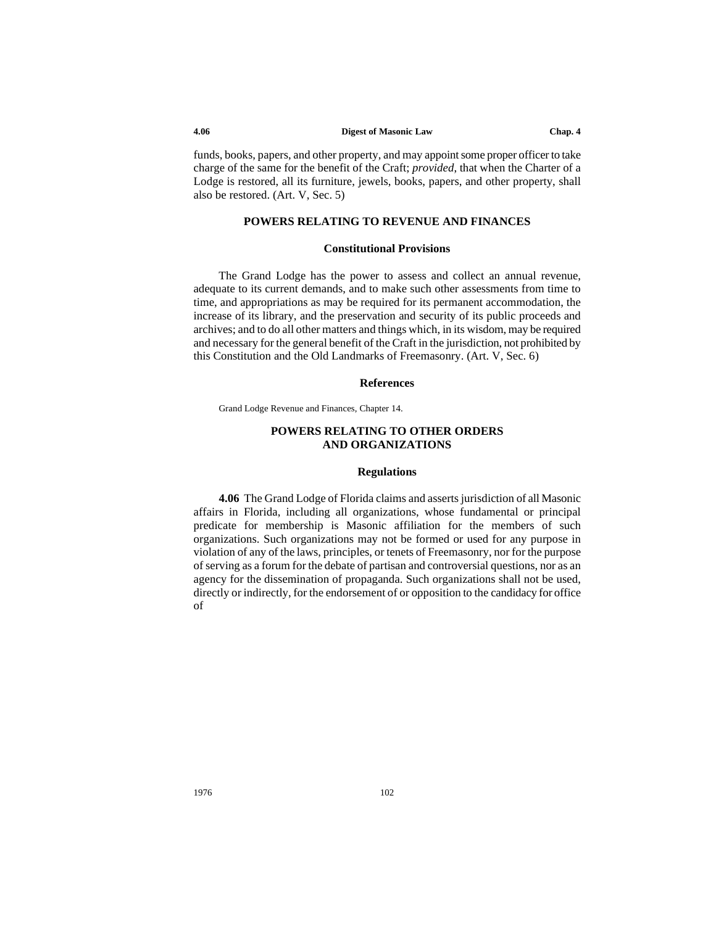funds, books, papers, and other property, and may appoint some proper officer to take charge of the same for the benefit of the Craft; *provided*, that when the Charter of a Lodge is restored, all its furniture, jewels, books, papers, and other property, shall also be restored. (Art. V, Sec. 5)

## **POWERS RELATING TO REVENUE AND FINANCES**

### **Constitutional Provisions**

The Grand Lodge has the power to assess and collect an annual revenue, adequate to its current demands, and to make such other assessments from time to time, and appropriations as may be required for its permanent accommodation, the increase of its library, and the preservation and security of its public proceeds and archives; and to do all other matters and things which, in its wisdom, may be required and necessary for the general benefit of the Craft in the jurisdiction, not prohibited by this Constitution and the Old Landmarks of Freemasonry. (Art. V, Sec. 6)

## **References**

Grand Lodge Revenue and Finances, Chapter 14.

## **POWERS RELATING TO OTHER ORDERS AND ORGANIZATIONS**

### **Regulations**

**4.06** The Grand Lodge of Florida claims and asserts jurisdiction of all Masonic affairs in Florida, including all organizations, whose fundamental or principal predicate for membership is Masonic affiliation for the members of such organizations. Such organizations may not be formed or used for any purpose in violation of any of the laws, principles, or tenets of Freemasonry, nor for the purpose of serving as a forum for the debate of partisan and controversial questions, nor as an agency for the dissemination of propaganda. Such organizations shall not be used, directly or indirectly, for the endorsement of or opposition to the candidacy for office of

1976 102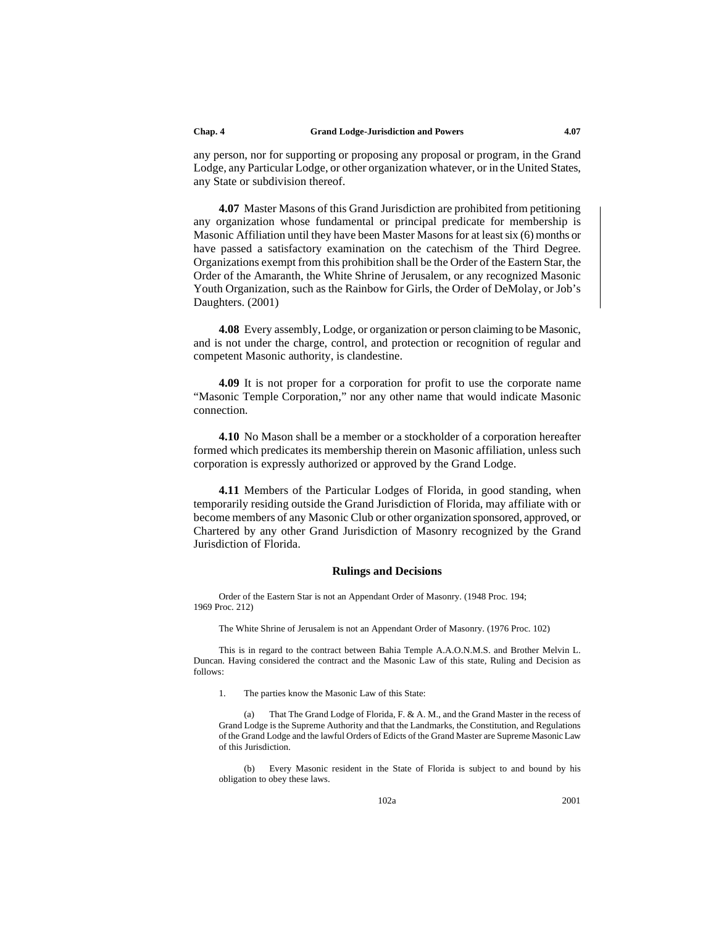any person, nor for supporting or proposing any proposal or program, in the Grand Lodge, any Particular Lodge, or other organization whatever, or in the United States, any State or subdivision thereof.

**4.07** Master Masons of this Grand Jurisdiction are prohibited from petitioning any organization whose fundamental or principal predicate for membership is Masonic Affiliation until they have been Master Masons for at least six (6) months or have passed a satisfactory examination on the catechism of the Third Degree. Organizations exempt from this prohibition shall be the Order of the Eastern Star, the Order of the Amaranth, the White Shrine of Jerusalem, or any recognized Masonic Youth Organization, such as the Rainbow for Girls, the Order of DeMolay, or Job's Daughters. (2001)

**4.08** Every assembly, Lodge, or organization or person claiming to be Masonic, and is not under the charge, control, and protection or recognition of regular and competent Masonic authority, is clandestine.

**4.09** It is not proper for a corporation for profit to use the corporate name "Masonic Temple Corporation," nor any other name that would indicate Masonic connection.

**4.10** No Mason shall be a member or a stockholder of a corporation hereafter formed which predicates its membership therein on Masonic affiliation, unless such corporation is expressly authorized or approved by the Grand Lodge.

**4.11** Members of the Particular Lodges of Florida, in good standing, when temporarily residing outside the Grand Jurisdiction of Florida, may affiliate with or become members of any Masonic Club or other organization sponsored, approved, or Chartered by any other Grand Jurisdiction of Masonry recognized by the Grand Jurisdiction of Florida.

### **Rulings and Decisions**

Order of the Eastern Star is not an Appendant Order of Masonry. (1948 Proc. 194; 1969 Proc. 212)

The White Shrine of Jerusalem is not an Appendant Order of Masonry. (1976 Proc. 102)

This is in regard to the contract between Bahia Temple A.A.O.N.M.S. and Brother Melvin L. Duncan. Having considered the contract and the Masonic Law of this state, Ruling and Decision as follows:

1. The parties know the Masonic Law of this State:

That The Grand Lodge of Florida, F. & A. M., and the Grand Master in the recess of Grand Lodge is the Supreme Authority and that the Landmarks, the Constitution, and Regulations of the Grand Lodge and the lawful Orders of Edicts of the Grand Master are Supreme Masonic Law of this Jurisdiction.

(b) Every Masonic resident in the State of Florida is subject to and bound by his obligation to obey these laws.

102a 2001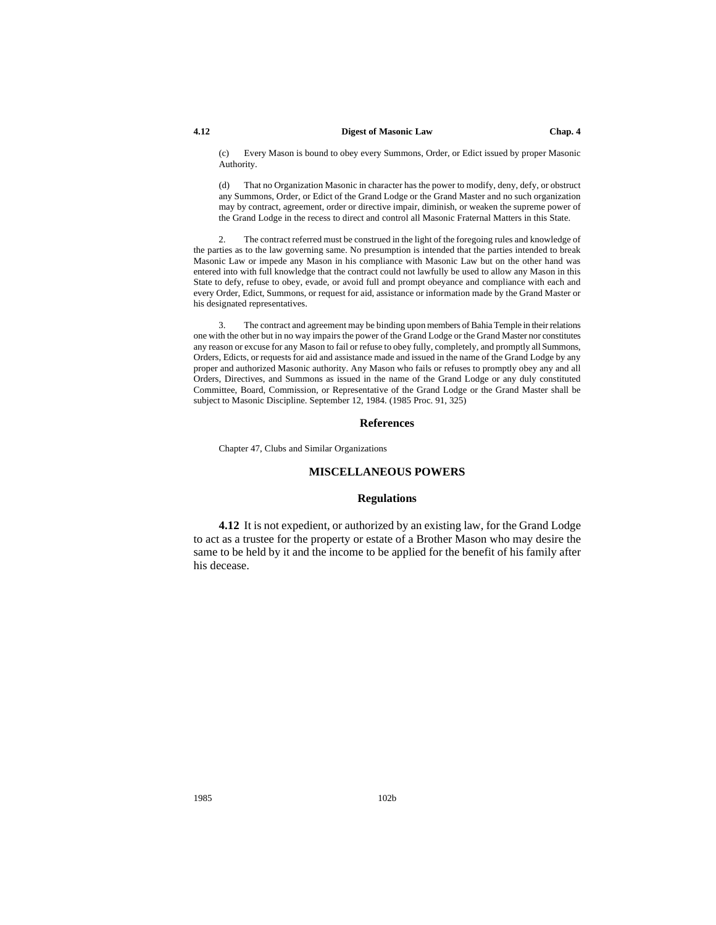#### **4.12 Digest of Masonic Law Chap. 4**

(c) Every Mason is bound to obey every Summons, Order, or Edict issued by proper Masonic Authority.

(d) That no Organization Masonic in character has the power to modify, deny, defy, or obstruct any Summons, Order, or Edict of the Grand Lodge or the Grand Master and no such organization may by contract, agreement, order or directive impair, diminish, or weaken the supreme power of the Grand Lodge in the recess to direct and control all Masonic Fraternal Matters in this State.

2. The contract referred must be construed in the light of the foregoing rules and knowledge of the parties as to the law governing same. No presumption is intended that the parties intended to break Masonic Law or impede any Mason in his compliance with Masonic Law but on the other hand was entered into with full knowledge that the contract could not lawfully be used to allow any Mason in this State to defy, refuse to obey, evade, or avoid full and prompt obeyance and compliance with each and every Order, Edict, Summons, or request for aid, assistance or information made by the Grand Master or his designated representatives.

3. The contract and agreement may be binding upon members of Bahia Temple in their relations one with the other but in no way impairs the power of the Grand Lodge or the Grand Master nor constitutes any reason or excuse for any Mason to fail or refuse to obey fully, completely, and promptly all Summons, Orders, Edicts, or requests for aid and assistance made and issued in the name of the Grand Lodge by any proper and authorized Masonic authority. Any Mason who fails or refuses to promptly obey any and all Orders, Directives, and Summons as issued in the name of the Grand Lodge or any duly constituted Committee, Board, Commission, or Representative of the Grand Lodge or the Grand Master shall be subject to Masonic Discipline. September 12, 1984. (1985 Proc. 91, 325)

### **References**

Chapter 47, Clubs and Similar Organizations

### **MISCELLANEOUS POWERS**

### **Regulations**

**4.12** It is not expedient, or authorized by an existing law, for the Grand Lodge to act as a trustee for the property or estate of a Brother Mason who may desire the same to be held by it and the income to be applied for the benefit of his family after his decease.